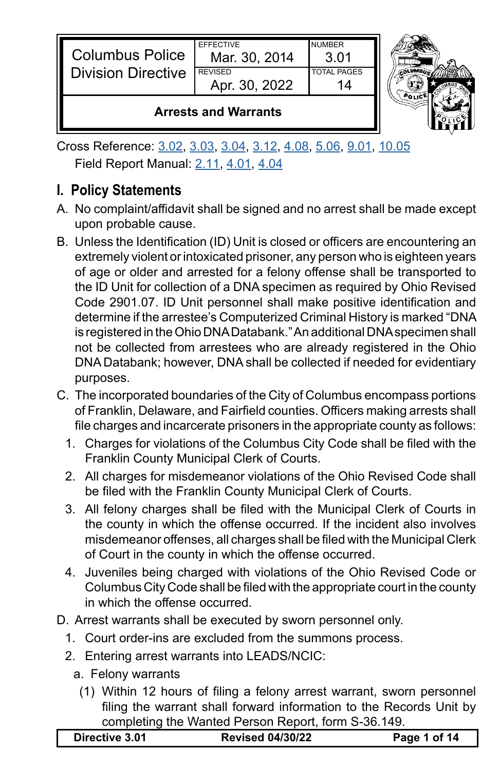| <b>Columbus Police</b>    | <b>FFFFCTIVE</b><br>Mar. 30, 2014 | NUMBER<br>3 O1     |   |
|---------------------------|-----------------------------------|--------------------|---|
| <b>Division Directive</b> | <b>REVISED</b>                    | <b>TOTAL PAGES</b> | G |
|                           | Apr. 30, 2022                     |                    |   |
|                           |                                   |                    |   |



### **Arrests and Warrants**

Cross Reference: [3.02](https://powerdms.com/link/CBUS/document/?id=1216778), [3.03](https://powerdms.com/link/CBUS/document/?id=1216780), [3.04](https://powerdms.com/link/CBUS/document/?id=1216781), [3.12](https://powerdms.com/link/CBUS/document/?id=1216796), [4.08](https://powerdms.com/link/CBUS/document/?id=1217373), [5.06](https://powerdms.com/link/CBUS/document/?id=1217520), [9.01](https://powerdms.com/link/CBUS/document/?id=1222537), [10.05](https://powerdms.com/link/CBUS/document/?id=1222556) Field Report Manual: [2.11](https://powerdms.com/link/CBUS/document/?id=1229930), [4.01](https://powerdms.com/link/CBUS/document/?id=1222657), [4.04](https://powerdms.com/link/CBUS/document/?id=1222660)

# **I. Policy Statements**

- A. No complaint/affidavit shall be signed and no arrest shall be made except upon probable cause.
- B. Unless the Identification (ID) Unit is closed or officers are encountering an extremely violent or intoxicated prisoner, any person who is eighteen years of age or older and arrested for a felony offense shall be transported to the ID Unit for collection of a DNA specimen as required by Ohio Revised Code 2901.07. ID Unit personnel shall make positive identification and determine if the arrestee's Computerized Criminal History is marked "DNA is registered in the Ohio DNA Databank." An additional DNA specimen shall not be collected from arrestees who are already registered in the Ohio DNA Databank; however, DNA shall be collected if needed for evidentiary purposes.
- C. The incorporated boundaries of the City of Columbus encompass portions of Franklin, Delaware, and Fairfield counties. Officers making arrests shall file charges and incarcerate prisoners in the appropriate county as follows:
	- 1. Charges for violations of the Columbus City Code shall be filed with the Franklin County Municipal Clerk of Courts.
	- 2. All charges for misdemeanor violations of the Ohio Revised Code shall be filed with the Franklin County Municipal Clerk of Courts.
	- 3. All felony charges shall be filed with the Municipal Clerk of Courts in the county in which the offense occurred. If the incident also involves misdemeanor offenses, all charges shall be filed with the Municipal Clerk of Court in the county in which the offense occurred.
	- 4. Juveniles being charged with violations of the Ohio Revised Code or Columbus City Code shall be filed with the appropriate court in the county in which the offense occurred.
- D. Arrest warrants shall be executed by sworn personnel only.
	- 1. Court order-ins are excluded from the summons process.
	- 2. Entering arrest warrants into LEADS/NCIC:
		- a. Felony warrants
		- (1) Within 12 hours of filing a felony arrest warrant, sworn personnel filing the warrant shall forward information to the Records Unit by completing the Wanted Person Report, form S-36.149.

|  | <b>Revised 04/30/22</b><br>Page 1 of 14<br>Directive 3.01 |
|--|-----------------------------------------------------------|
|--|-----------------------------------------------------------|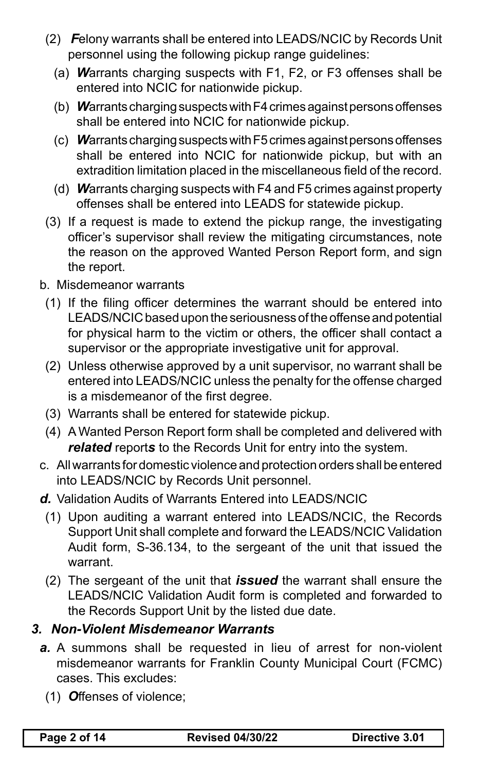- (2) *F*elony warrants shall be entered into LEADS/NCIC by Records Unit personnel using the following pickup range guidelines:
	- (a) *W*arrants charging suspects with F1, F2, or F3 offenses shall be entered into NCIC for nationwide pickup.
	- (b) *W*arrantschargingsuspectswithF4crimesagainstpersonsoffenses shall be entered into NCIC for nationwide pickup.
	- (c) Warrants charging suspects with F5 crimes against persons offenses shall be entered into NCIC for nationwide pickup, but with an extradition limitation placed in the miscellaneous field of the record.
	- (d) *W*arrants charging suspects with F4 and F5 crimes against property offenses shall be entered into LEADS for statewide pickup.
- (3) If a request is made to extend the pickup range, the investigating officer's supervisor shall review the mitigating circumstances, note the reason on the approved Wanted Person Report form, and sign the report.
- b. Misdemeanor warrants
	- (1) If the filing officer determines the warrant should be entered into LEADS/NCIC based upon the seriousness of the offense and potential for physical harm to the victim or others, the officer shall contact a supervisor or the appropriate investigative unit for approval.
	- (2) Unless otherwise approved by a unit supervisor, no warrant shall be entered into LEADS/NCIC unless the penalty for the offense charged is a misdemeanor of the first degree.
	- (3) Warrants shall be entered for statewide pickup.
	- (4) A Wanted Person Report form shall be completed and delivered with *related* report*s* to the Records Unit for entry into the system.
- c. All warrants for domestic violence and protection orders shall be entered into LEADS/NCIC by Records Unit personnel.
- *d.* Validation Audits of Warrants Entered into LEADS/NCIC
	- (1) Upon auditing a warrant entered into LEADS/NCIC, the Records Support Unit shall complete and forward the LEADS/NCIC Validation Audit form, S-36.134, to the sergeant of the unit that issued the warrant.
	- (2) The sergeant of the unit that *issued* the warrant shall ensure the LEADS/NCIC Validation Audit form is completed and forwarded to the Records Support Unit by the listed due date.

### *3. Non-Violent Misdemeanor Warrants*

- a. A summons shall be requested in lieu of arrest for non-violent misdemeanor warrants for Franklin County Municipal Court (FCMC) cases. This excludes:
	- (1) *O*ffenses of violence;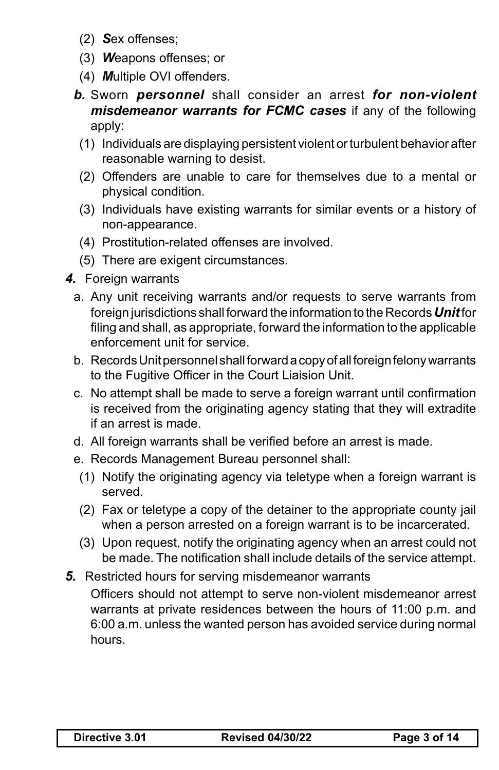- (2) *S*ex offenses;
- (3) *W*eapons offenses; or
- (4) *M*ultiple OVI offenders.
- *b.* Sworn *personnel* shall consider an arrest *for non-violent misdemeanor warrants for FCMC cases* if any of the following apply:
- (1) Individuals are displaying persistent violent orturbulent behavior after reasonable warning to desist.
- (2) Offenders are unable to care for themselves due to a mental or physical condition.
- (3) Individuals have existing warrants for similar events or a history of non-appearance.
- (4) Prostitution-related offenses are involved.
- (5) There are exigent circumstances.
- *4.* Foreign warrants
	- a. Any unit receiving warrants and/or requests to serve warrants from foreign jurisdictions shall forward the information to theRecords*Unit* for filing and shall, as appropriate, forward the information to the applicable enforcement unit for service.
	- b. Records Unit personnel shall forward a copy of all foreign felony warrants to the Fugitive Officer in the Court Liaision Unit.
	- c. No attempt shall be made to serve a foreign warrant until confirmation is received from the originating agency stating that they will extradite if an arrest is made.
	- d. All foreign warrants shall be verified before an arrest is made.
	- e. Records Management Bureau personnel shall:
	- (1) Notify the originating agency via teletype when a foreign warrant is served.
	- (2) Fax or teletype a copy of the detainer to the appropriate county jail when a person arrested on a foreign warrant is to be incarcerated.
	- (3) Upon request, notify the originating agency when an arrest could not be made. The notification shall include details of the service attempt.
- **5.** Restricted hours for serving misdemeanor warrants

 Officers should not attempt to serve non-violent misdemeanor arrest warrants at private residences between the hours of 11:00 p.m. and 6:00 a.m. unless the wanted person has avoided service during normal hours.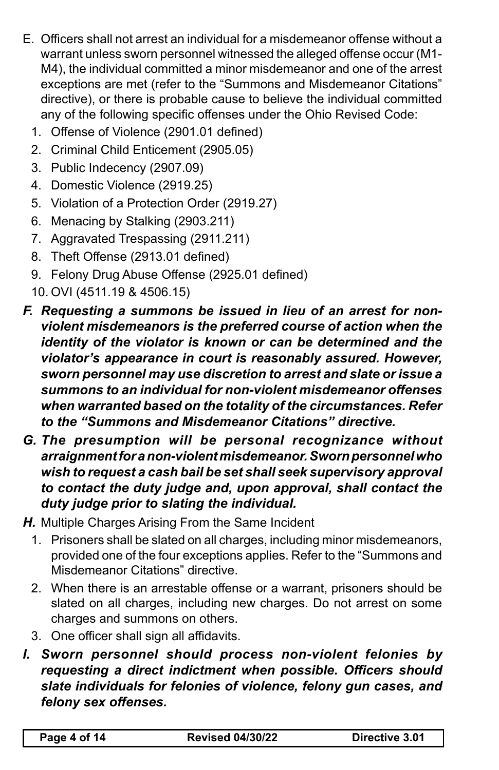- E. Officers shall not arrest an individual for a misdemeanor offense without a warrant unless sworn personnel witnessed the alleged offense occur (M1- M4), the individual committed a minor misdemeanor and one of the arrest exceptions are met (refer to the "Summons and Misdemeanor Citations" directive), or there is probable cause to believe the individual committed any of the following specific offenses under the Ohio Revised Code:
	- 1. Offense of Violence (2901.01 defined)
	- 2. Criminal Child Enticement (2905.05)
	- 3. Public Indecency (2907.09)
	- 4. Domestic Violence (2919.25)
	- 5. Violation of a Protection Order (2919.27)
	- 6. Menacing by Stalking (2903.211)
	- 7. Aggravated Trespassing (2911.211)
	- 8. Theft Offense (2913.01 defined)
	- 9. Felony Drug Abuse Offense (2925.01 defined)
	- 10. OVI (4511.19 & 4506.15)
- *F. Requesting a summons be issued in lieu of an arrest for nonviolent misdemeanors is the preferred course of action when the identity of the violator is known or can be determined and the violator's appearance in court is reasonably assured. However, sworn personnel may use discretion to arrest and slate or issue a summons to an individual for non-violent misdemeanor offenses when warranted based on the totality of the circumstances. Refer to the "Summons and Misdemeanor Citations" directive.*
- *G. The presumption will be personal recognizance without arraignment for a non-violent misdemeanor. Sworn personnel who wish to request a cash bail be set shall seek supervisory approval to contact the duty judge and, upon approval, shall contact the duty judge prior to slating the individual.*
- **H.** Multiple Charges Arising From the Same Incident
	- 1. Prisoners shall be slated on all charges, including minor misdemeanors, provided one of the four exceptions applies. Refer to the "Summons and Misdemeanor Citations" directive.
	- 2. When there is an arrestable offense or a warrant, prisoners should be slated on all charges, including new charges. Do not arrest on some charges and summons on others.
	- 3. One officer shall sign all affidavits.
- *I. Sworn personnel should process non-violent felonies by requesting a direct indictment when possible. Officers should slate individuals for felonies of violence, felony gun cases, and felony sex offenses.*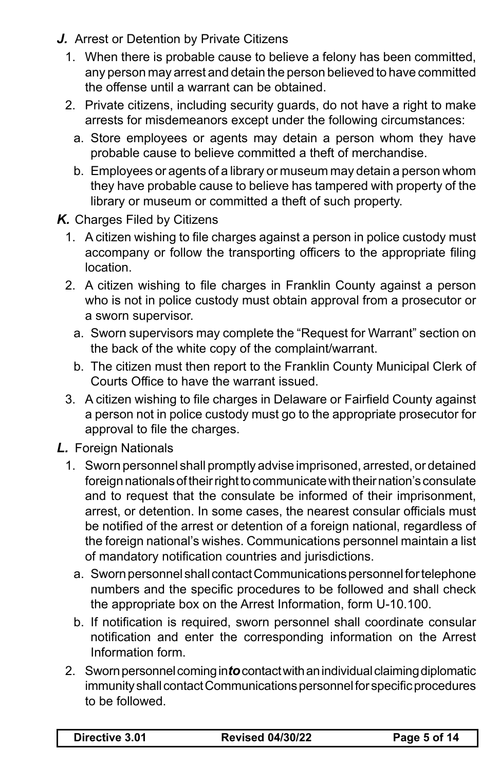- **J.** Arrest or Detention by Private Citizens
	- 1. When there is probable cause to believe a felony has been committed, any person may arrest and detain the person believed to have committed the offense until a warrant can be obtained.
	- 2. Private citizens, including security guards, do not have a right to make arrests for misdemeanors except under the following circumstances:
		- a. Store employees or agents may detain a person whom they have probable cause to believe committed a theft of merchandise.
		- b. Employees or agents of a library or museum may detain a person whom they have probable cause to believe has tampered with property of the library or museum or committed a theft of such property.
- **K.** Charges Filed by Citizens
	- 1. A citizen wishing to file charges against a person in police custody must accompany or follow the transporting officers to the appropriate filing location.
	- 2. A citizen wishing to file charges in Franklin County against a person who is not in police custody must obtain approval from a prosecutor or a sworn supervisor.
		- a. Sworn supervisors may complete the "Request for Warrant" section on the back of the white copy of the complaint/warrant.
		- b. The citizen must then report to the Franklin County Municipal Clerk of Courts Office to have the warrant issued.
	- 3. A citizen wishing to file charges in Delaware or Fairfield County against a person not in police custody must go to the appropriate prosecutor for approval to file the charges.
- *L.* Foreign Nationals
	- 1. Sworn personnel shall promptly advise imprisoned, arrested, or detained foreign nationals of their right to communicate with their nation's consulate and to request that the consulate be informed of their imprisonment, arrest, or detention. In some cases, the nearest consular officials must be notified of the arrest or detention of a foreign national, regardless of the foreign national's wishes. Communications personnel maintain a list of mandatory notification countries and jurisdictions.
		- a. Sworn personnel shall contact Communications personnel for telephone numbers and the specific procedures to be followed and shall check the appropriate box on the Arrest Information, form U-10.100.
		- b. If notification is required, sworn personnel shall coordinate consular notification and enter the corresponding information on the Arrest Information form.
	- 2. Sworn personnel coming into contact with an individual claiming diplomatic immunity shall contact Communications personnel for specific procedures to be followed.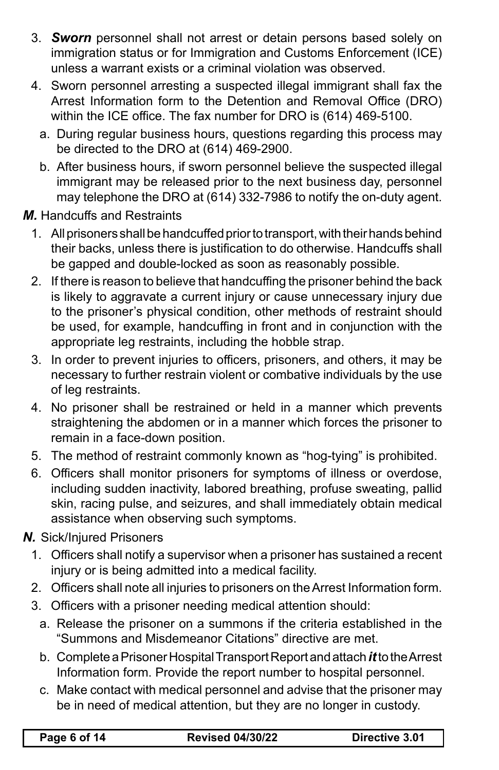- 3. *Sworn* personnel shall not arrest or detain persons based solely on immigration status or for Immigration and Customs Enforcement (ICE) unless a warrant exists or a criminal violation was observed.
- 4. Sworn personnel arresting a suspected illegal immigrant shall fax the Arrest Information form to the Detention and Removal Office (DRO) within the ICE office. The fax number for DRO is (614) 469-5100.
	- a. During regular business hours, questions regarding this process may be directed to the DRO at (614) 469-2900.
	- b. After business hours, if sworn personnel believe the suspected illegal immigrant may be released prior to the next business day, personnel may telephone the DRO at (614) 332-7986 to notify the on-duty agent.

*M.* Handcuffs and Restraints

- 1. All prisoners shall be handcuffed prior to transport, with their hands behind their backs, unless there is justification to do otherwise. Handcuffs shall be gapped and double-locked as soon as reasonably possible.
- 2. If there is reason to believe that handcuffing the prisoner behind the back is likely to aggravate a current injury or cause unnecessary injury due to the prisoner's physical condition, other methods of restraint should be used, for example, handcuffing in front and in conjunction with the appropriate leg restraints, including the hobble strap.
- 3. In order to prevent injuries to officers, prisoners, and others, it may be necessary to further restrain violent or combative individuals by the use of leg restraints.
- 4. No prisoner shall be restrained or held in a manner which prevents straightening the abdomen or in a manner which forces the prisoner to remain in a face-down position.
- 5. The method of restraint commonly known as "hog-tying" is prohibited.
- 6. Officers shall monitor prisoners for symptoms of illness or overdose, including sudden inactivity, labored breathing, profuse sweating, pallid skin, racing pulse, and seizures, and shall immediately obtain medical assistance when observing such symptoms.
- *N.* Sick/Injured Prisoners
	- 1. Officers shall notify a supervisor when a prisoner has sustained a recent injury or is being admitted into a medical facility.
	- 2. Officers shall note all injuries to prisoners on the Arrest Information form.
	- 3. Officers with a prisoner needing medical attention should:
		- a. Release the prisoner on a summons if the criteria established in the "Summons and Misdemeanor Citations" directive are met.
		- b. CompleteaPrisonerHospitalTransportReportandattach*it* totheArrest Information form. Provide the report number to hospital personnel.
		- c. Make contact with medical personnel and advise that the prisoner may be in need of medical attention, but they are no longer in custody.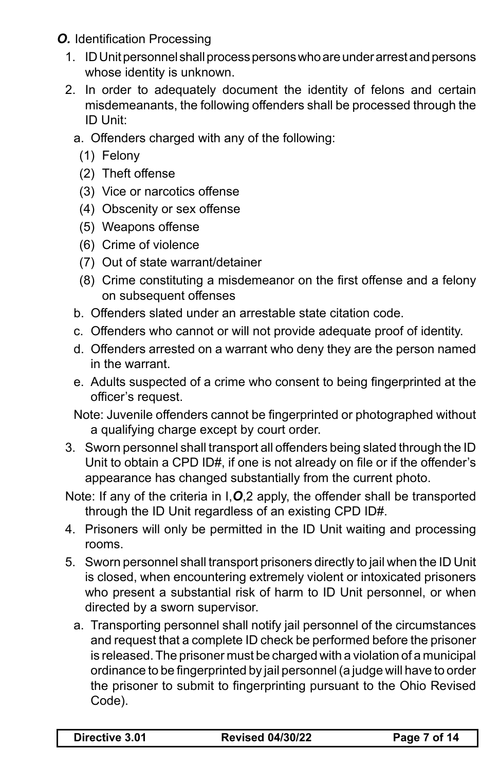*O.* Identification Processing

- 1. ID Unit personnel shall process persons who are under arrest and persons whose identity is unknown.
- 2. In order to adequately document the identity of felons and certain misdemeanants, the following offenders shall be processed through the ID Unit:
	- a. Offenders charged with any of the following:
		- (1) Felony
		- (2) Theft offense
		- (3) Vice or narcotics offense
		- (4) Obscenity or sex offense
		- (5) Weapons offense
		- (6) Crime of violence
		- (7) Out of state warrant/detainer
		- (8) Crime constituting a misdemeanor on the first offense and a felony on subsequent offenses
	- b. Offenders slated under an arrestable state citation code.
	- c. Offenders who cannot or will not provide adequate proof of identity.
	- d. Offenders arrested on a warrant who deny they are the person named in the warrant.
	- e. Adults suspected of a crime who consent to being fingerprinted at the officer's request.
	- Note: Juvenile offenders cannot be fingerprinted or photographed without a qualifying charge except by court order.
- 3. Sworn personnel shall transport all offenders being slated through the ID Unit to obtain a CPD ID#, if one is not already on file or if the offender's appearance has changed substantially from the current photo.
- Note: If any of the criteria in I,*O*,2 apply, the offender shall be transported through the ID Unit regardless of an existing CPD ID#.
- 4. Prisoners will only be permitted in the ID Unit waiting and processing rooms.
- 5. Sworn personnel shall transport prisoners directly to jail when the ID Unit is closed, when encountering extremely violent or intoxicated prisoners who present a substantial risk of harm to ID Unit personnel, or when directed by a sworn supervisor.
	- a. Transporting personnel shall notify jail personnel of the circumstances and request that a complete ID check be performed before the prisoner is released.The prisoner must be charged with a violation of a municipal ordinance to be fingerprinted by jail personnel(a judge will have to order the prisoner to submit to fingerprinting pursuant to the Ohio Revised Code).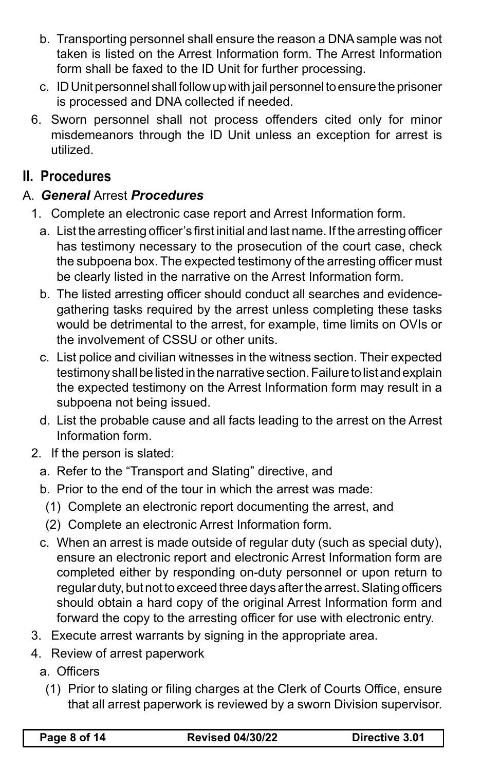- b. Transporting personnel shall ensure the reason a DNA sample was not taken is listed on the Arrest Information form. The Arrest Information form shall be faxed to the ID Unit for further processing.
- c. ID Unit personnel shall follow up with jail personnel to ensure the prisoner is processed and DNA collected if needed.
- 6. Sworn personnel shall not process offenders cited only for minor misdemeanors through the ID Unit unless an exception for arrest is utilized.

## **II. Procedures**

#### A. *General* Arrest *Procedures*

- 1. Complete an electronic case report and Arrest Information form.
	- a. List the arresting officer's first initial and last name. If the arresting officer has testimony necessary to the prosecution of the court case, check the subpoena box. The expected testimony of the arresting officer must be clearly listed in the narrative on the Arrest Information form.
	- b. The listed arresting officer should conduct all searches and evidencegathering tasks required by the arrest unless completing these tasks would be detrimental to the arrest, for example, time limits on OVIs or the involvement of CSSU or other units.
	- c. List police and civilian witnesses in the witness section. Their expected testimony shall be listed in the narrative section. Failure to list and explain the expected testimony on the Arrest Information form may result in a subpoena not being issued.
	- d. List the probable cause and all facts leading to the arrest on the Arrest Information form.
- 2. If the person is slated:
	- a. Refer to the "Transport and Slating" directive, and
	- b. Prior to the end of the tour in which the arrest was made:
	- (1) Complete an electronic report documenting the arrest, and
	- (2) Complete an electronic Arrest Information form.
	- c. When an arrest is made outside of regular duty (such as special duty), ensure an electronic report and electronic Arrest Information form are completed either by responding on-duty personnel or upon return to regular duty, but not to exceed three days afterthe arrest.Slating officers should obtain a hard copy of the original Arrest Information form and forward the copy to the arresting officer for use with electronic entry.
- 3. Execute arrest warrants by signing in the appropriate area.
- 4. Review of arrest paperwork
	- a. Officers
		- (1) Prior to slating or filing charges at the Clerk of Courts Office, ensure that all arrest paperwork is reviewed by a sworn Division supervisor.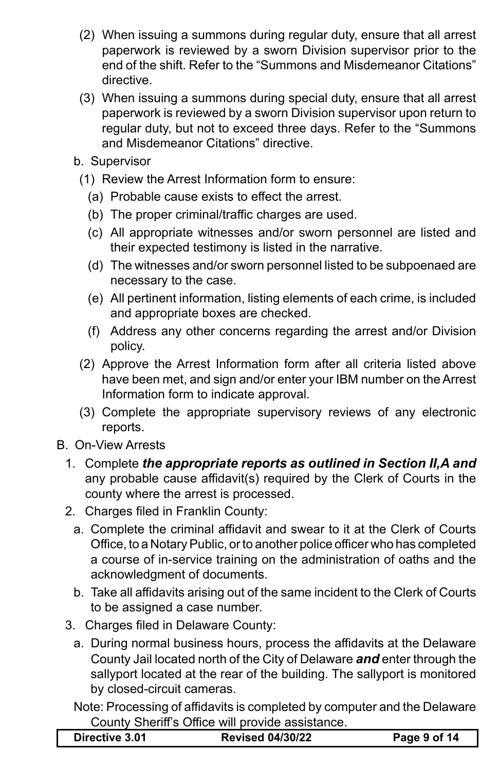- (2) When issuing a summons during regular duty, ensure that all arrest paperwork is reviewed by a sworn Division supervisor prior to the end of the shift. Refer to the "Summons and Misdemeanor Citations" directive.
- (3) When issuing a summons during special duty, ensure that all arrest paperwork is reviewed by a sworn Division supervisor upon return to regular duty, but not to exceed three days. Refer to the "Summons and Misdemeanor Citations" directive.
- b. Supervisor
- (1) Review the Arrest Information form to ensure:
	- (a) Probable cause exists to effect the arrest.
	- (b) The proper criminal/traffic charges are used.
	- (c) All appropriate witnesses and/or sworn personnel are listed and their expected testimony is listed in the narrative.
	- (d) The witnesses and/or sworn personnel listed to be subpoenaed are necessary to the case.
	- (e) All pertinent information, listing elements of each crime, is included and appropriate boxes are checked.
	- (f) Address any other concerns regarding the arrest and/or Division policy.
- (2) Approve the Arrest Information form after all criteria listed above have been met, and sign and/or enter your IBM number on the Arrest Information form to indicate approval.
- (3) Complete the appropriate supervisory reviews of any electronic reports.
- B. On-View Arrests
	- 1. Complete *the appropriate reports as outlined in Section II,A and*  any probable cause affidavit(s) required by the Clerk of Courts in the county where the arrest is processed.
	- 2. Charges filed in Franklin County:
		- a. Complete the criminal affidavit and swear to it at the Clerk of Courts Office, to a Notary Public, or to another police officer who has completed a course of in-service training on the administration of oaths and the acknowledgment of documents.
		- b. Take all affidavits arising out of the same incident to the Clerk of Courts to be assigned a case number.
	- 3. Charges filed in Delaware County:
		- a. During normal business hours, process the affidavits at the Delaware County Jail located north of the City of Delaware *and* enter through the sallyport located at the rear of the building. The sallyport is monitored by closed-circuit cameras.
		- Note: Processing of affidavits is completed by computer and the Delaware County Sheriff's Office will provide assistance.

| <b>Revised 04/30/22</b><br>Directive 3.01 | Page 9 of 14 |
|-------------------------------------------|--------------|
|-------------------------------------------|--------------|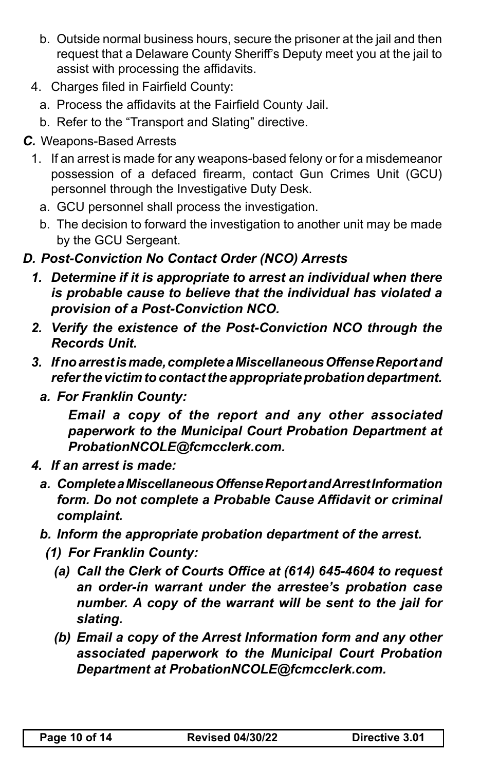- b. Outside normal business hours, secure the prisoner at the jail and then request that a Delaware County Sheriff's Deputy meet you at the jail to assist with processing the affidavits.
- 4. Charges filed in Fairfield County:
	- a. Process the affidavits at the Fairfield County Jail.
	- b. Refer to the "Transport and Slating" directive.
- *C.* Weapons-Based Arrests
	- 1. If an arrest is made for any weapons-based felony or for a misdemeanor possession of a defaced firearm, contact Gun Crimes Unit (GCU) personnel through the Investigative Duty Desk.
		- a. GCU personnel shall process the investigation.
		- b. The decision to forward the investigation to another unit may be made by the GCU Sergeant.

### *D. Post-Conviction No Contact Order (NCO) Arrests*

- *1. Determine if it is appropriate to arrest an individual when there is probable cause to believe that the individual has violated a provision of a Post-Conviction NCO.*
- *2. Verify the existence of the Post-Conviction NCO through the Records Unit.*
- *3. If no arrest is made, complete a Miscellaneous Offense Report and refer the victim to contact the appropriate probation department.*
	- *a. For Franklin County:*

*Email a copy of the report and any other associated paperwork to the Municipal Court Probation Department at ProbationNCOLE@fcmcclerk.com.*

- *4. If an arrest is made:*
	- *a. Complete a Miscellaneous Offense Report and Arrest Information form. Do not complete a Probable Cause Affidavit or criminal complaint.*
	- *b. Inform the appropriate probation department of the arrest.* 
		- *(1) For Franklin County:*
			- *(a) Call the Clerk of Courts Office at (614) 645-4604 to request an order-in warrant under the arrestee's probation case number. A copy of the warrant will be sent to the jail for slating.*
			- *(b) Email a copy of the Arrest Information form and any other associated paperwork to the Municipal Court Probation Department at ProbationNCOLE@fcmcclerk.com.*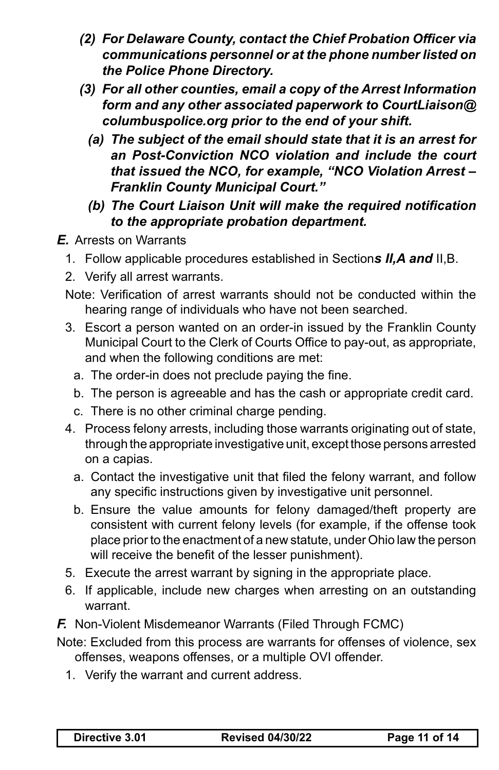- *(2) For Delaware County, contact the Chief Probation Officer via communications personnel or at the phone number listed on the Police Phone Directory.*
- *(3) For all other counties, email a copy of the Arrest Information form and any other associated paperwork to CourtLiaison@ columbuspolice.org prior to the end of your shift.* 
	- *(a) The subject of the email should state that it is an arrest for an Post-Conviction NCO violation and include the court that issued the NCO, for example, "NCO Violation Arrest – Franklin County Municipal Court."*
	- *(b) The Court Liaison Unit will make the required notification to the appropriate probation department.*
- *E.* Arrests on Warrants
	- 1. Follow applicable procedures established in Section*s II,A and* II,B.
	- 2. Verify all arrest warrants.
	- Note: Verification of arrest warrants should not be conducted within the hearing range of individuals who have not been searched.
	- 3. Escort a person wanted on an order-in issued by the Franklin County Municipal Court to the Clerk of Courts Office to pay-out, as appropriate, and when the following conditions are met:
		- a. The order-in does not preclude paying the fine.
		- b. The person is agreeable and has the cash or appropriate credit card.
		- c. There is no other criminal charge pending.
	- 4. Process felony arrests, including those warrants originating out of state, through the appropriate investigative unit, except those persons arrested on a capias.
		- a. Contact the investigative unit that filed the felony warrant, and follow any specific instructions given by investigative unit personnel.
		- b. Ensure the value amounts for felony damaged/theft property are consistent with current felony levels (for example, if the offense took place prior to the enactment of a new statute, under Ohio law the person will receive the benefit of the lesser punishment).
	- 5. Execute the arrest warrant by signing in the appropriate place.
	- 6. If applicable, include new charges when arresting on an outstanding warrant.
- **F.** Non-Violent Misdemeanor Warrants (Filed Through FCMC)
- Note: Excluded from this process are warrants for offenses of violence, sex offenses, weapons offenses, or a multiple OVI offender.
	- 1. Verify the warrant and current address.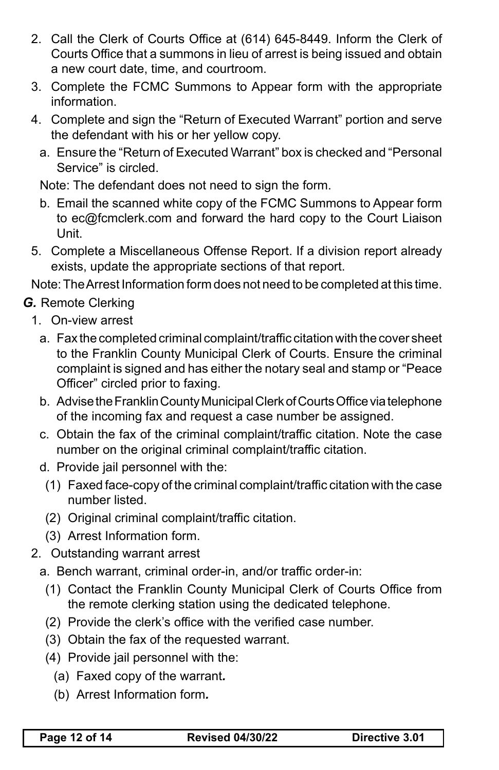- 2. Call the Clerk of Courts Office at (614) 645-8449. Inform the Clerk of Courts Office that a summons in lieu of arrest is being issued and obtain a new court date, time, and courtroom.
- 3. Complete the FCMC Summons to Appear form with the appropriate information.
- 4. Complete and sign the "Return of Executed Warrant" portion and serve the defendant with his or her yellow copy.
	- a. Ensure the "Return of Executed Warrant" box is checked and "Personal Service" is circled.

Note: The defendant does not need to sign the form.

- b. Email the scanned white copy of the FCMC Summons to Appear form to ec@fcmclerk.com and forward the hard copy to the Court Liaison Unit.
- 5. Complete a Miscellaneous Offense Report. If a division report already exists, update the appropriate sections of that report.

Note:TheArrest Information form does not need to be completed at this time.

#### *G.* Remote Clerking

- 1. On-view arrest
	- a. Fax the completed criminal complaint/traffic citation with the cover sheet to the Franklin County Municipal Clerk of Courts. Ensure the criminal complaint is signed and has either the notary seal and stamp or "Peace Officer" circled prior to faxing.
	- b. Advise the Franklin County Municipal Clerk of Courts Office via telephone of the incoming fax and request a case number be assigned.
	- c. Obtain the fax of the criminal complaint/traffic citation. Note the case number on the original criminal complaint/traffic citation.
	- d. Provide jail personnel with the:
		- (1) Faxed face-copy of the criminal complaint/traffic citation with the case number listed.
		- (2) Original criminal complaint/traffic citation.
		- (3) Arrest Information form.
- 2. Outstanding warrant arrest
	- a. Bench warrant, criminal order-in, and/or traffic order-in:
		- (1) Contact the Franklin County Municipal Clerk of Courts Office from the remote clerking station using the dedicated telephone.
		- (2) Provide the clerk's office with the verified case number.
		- (3) Obtain the fax of the requested warrant.
		- (4) Provide jail personnel with the:
			- (a) Faxed copy of the warrant*.*
			- (b) Arrest Information form*.*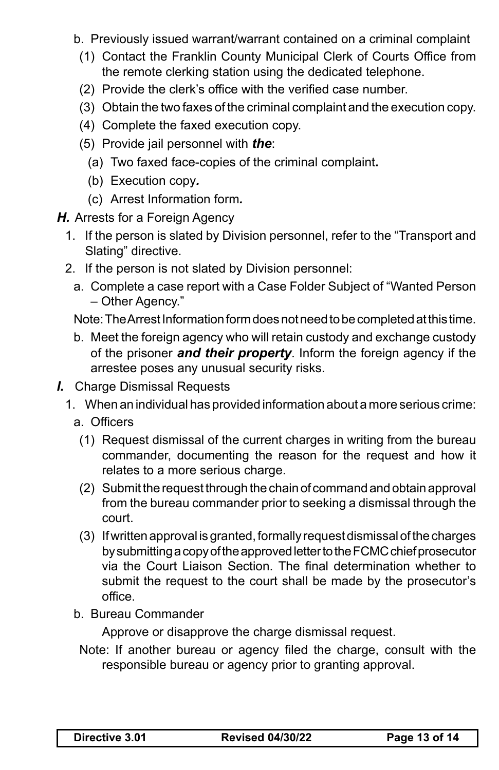- b. Previously issued warrant/warrant contained on a criminal complaint
- (1) Contact the Franklin County Municipal Clerk of Courts Office from the remote clerking station using the dedicated telephone.
- (2) Provide the clerk's office with the verified case number.
- (3) Obtain the two faxes of the criminal complaint and the execution copy.
- (4) Complete the faxed execution copy.
- (5) Provide jail personnel with *the*:
	- (a) Two faxed face-copies of the criminal complaint*.*
	- (b) Execution copy*.*
	- (c) Arrest Information form*.*
- **H.** Arrests for a Foreign Agency
	- 1. If the person is slated by Division personnel, refer to the "Transport and Slating" directive.
	- 2. If the person is not slated by Division personnel:
		- a. Complete a case report with a Case Folder Subject of "Wanted Person – Other Agency."

Note: The Arrest Information form does not need to be completed at this time.

- b. Meet the foreign agency who will retain custody and exchange custody of the prisoner *and their property*. Inform the foreign agency if the arrestee poses any unusual security risks.
- *I.* Charge Dismissal Requests
	- 1. When an individual has provided information about a more serious crime:
		- a. Officers
		- (1) Request dismissal of the current charges in writing from the bureau commander, documenting the reason for the request and how it relates to a more serious charge.
		- (2) Submit the request through the chain of command and obtain approval from the bureau commander prior to seeking a dismissal through the court.
		- (3) If written approval is granted, formally request dismissal of the charges bysubmittingacopyoftheapprovedlettertotheFCMCchiefprosecutor via the Court Liaison Section. The final determination whether to submit the request to the court shall be made by the prosecutor's office.
		- b. Bureau Commander

 Approve or disapprove the charge dismissal request.

Note: If another bureau or agency filed the charge, consult with the responsible bureau or agency prior to granting approval.